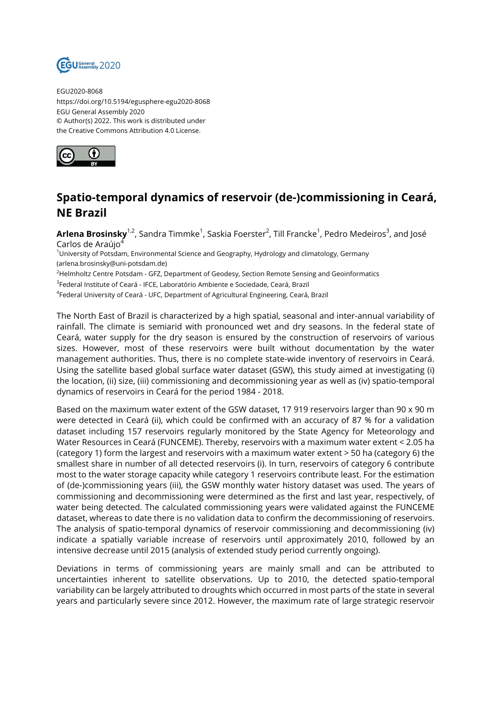

EGU2020-8068 https://doi.org/10.5194/egusphere-egu2020-8068 EGU General Assembly 2020 © Author(s) 2022. This work is distributed under the Creative Commons Attribution 4.0 License.



## **Spatio-temporal dynamics of reservoir (de-)commissioning in Ceará, NE Brazil**

**Arlena Brosinsky**<sup>1,2</sup>, Sandra Timmke<sup>1</sup>, Saskia Foerster<sup>2</sup>, Till Francke<sup>1</sup>, Pedro Medeiros<sup>3</sup>, and José Carlos de Araúio<sup>4</sup>

<sup>1</sup>University of Potsdam, Environmental Science and Geography, Hydrology and climatology, Germany (arlena.brosinsky@uni-potsdam.de)

 $<sup>2</sup>$ Helmholtz Centre Potsdam - GFZ, Department of Geodesy, Section Remote Sensing and Geoinformatics</sup>

<sup>3</sup>Federal Institute of Ceará - IFCE, Laboratório Ambiente e Sociedade, Ceará, Brazil

4 Federal University of Ceará - UFC, Department of Agricultural Engineering, Ceará, Brazil

The North East of Brazil is characterized by a high spatial, seasonal and inter-annual variability of rainfall. The climate is semiarid with pronounced wet and dry seasons. In the federal state of Ceará, water supply for the dry season is ensured by the construction of reservoirs of various sizes. However, most of these reservoirs were built without documentation by the water management authorities. Thus, there is no complete state-wide inventory of reservoirs in Ceará. Using the satellite based global surface water dataset (GSW), this study aimed at investigating (i) the location, (ii) size, (iii) commissioning and decommissioning year as well as (iv) spatio-temporal dynamics of reservoirs in Ceará for the period 1984 - 2018.

Based on the maximum water extent of the GSW dataset, 17 919 reservoirs larger than 90 x 90 m were detected in Ceará (ii), which could be confirmed with an accuracy of 87 % for a validation dataset including 157 reservoirs regularly monitored by the State Agency for Meteorology and Water Resources in Ceará (FUNCEME). Thereby, reservoirs with a maximum water extent < 2.05 ha (category 1) form the largest and reservoirs with a maximum water extent > 50 ha (category 6) the smallest share in number of all detected reservoirs (i). In turn, reservoirs of category 6 contribute most to the water storage capacity while category 1 reservoirs contribute least. For the estimation of (de-)commissioning years (iii), the GSW monthly water history dataset was used. The years of commissioning and decommissioning were determined as the first and last year, respectively, of water being detected. The calculated commissioning years were validated against the FUNCEME dataset, whereas to date there is no validation data to confirm the decommissioning of reservoirs. The analysis of spatio-temporal dynamics of reservoir commissioning and decommissioning (iv) indicate a spatially variable increase of reservoirs until approximately 2010, followed by an intensive decrease until 2015 (analysis of extended study period currently ongoing).

Deviations in terms of commissioning years are mainly small and can be attributed to uncertainties inherent to satellite observations. Up to 2010, the detected spatio-temporal variability can be largely attributed to droughts which occurred in most parts of the state in several years and particularly severe since 2012. However, the maximum rate of large strategic reservoir